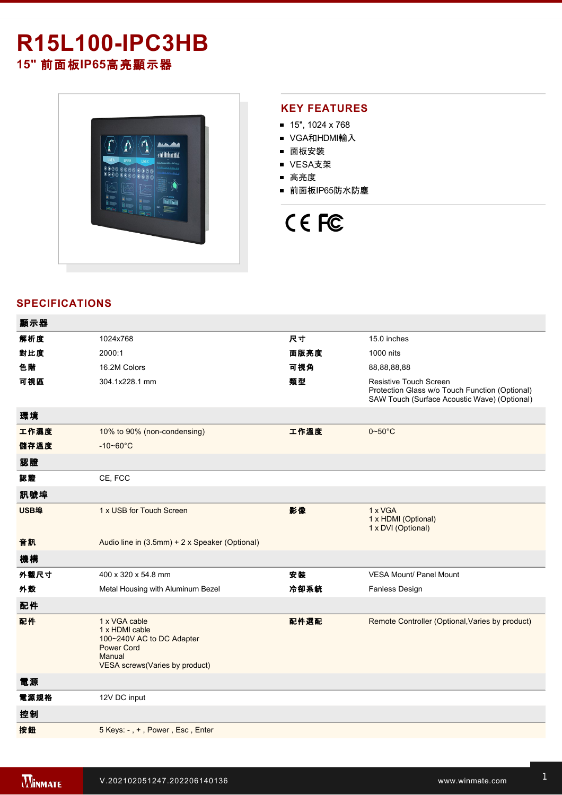## **R15L100-IPC3HB 15"** 前面板**IP65**高亮顯示器



### **KEY FEATURES**

- $15"$ , 1024 x 768
- VGA和HDMI輸入
- 面板安裝
- VESA支架
- 高亮度
- 前面板IP65防水防塵

# CE FC

### **SPECIFICATIONS**

| 顯示器  |                                                                                                                               |      |                                                                                                                          |
|------|-------------------------------------------------------------------------------------------------------------------------------|------|--------------------------------------------------------------------------------------------------------------------------|
| 解析度  | 1024x768                                                                                                                      | 尺寸   | 15.0 inches                                                                                                              |
| 對比度  | 2000:1                                                                                                                        | 面版亮度 | 1000 nits                                                                                                                |
| 色階   | 16.2M Colors                                                                                                                  | 可視角  | 88,88,88,88                                                                                                              |
| 可視區  | 304.1x228.1 mm                                                                                                                | 類型   | Resistive Touch Screen<br>Protection Glass w/o Touch Function (Optional)<br>SAW Touch (Surface Acoustic Wave) (Optional) |
| 環境   |                                                                                                                               |      |                                                                                                                          |
| 工作濕度 | 10% to 90% (non-condensing)                                                                                                   | 工作溫度 | $0\nightharpoonup 50^\circ C$                                                                                            |
| 儲存溫度 | $-10 - 60^{\circ}$ C                                                                                                          |      |                                                                                                                          |
| 認證   |                                                                                                                               |      |                                                                                                                          |
| 認證   | CE, FCC                                                                                                                       |      |                                                                                                                          |
| 訊號埠  |                                                                                                                               |      |                                                                                                                          |
| USB埠 | 1 x USB for Touch Screen                                                                                                      | 影像   | 1 x VGA<br>1 x HDMI (Optional)<br>1 x DVI (Optional)                                                                     |
| 音訊   | Audio line in (3.5mm) + 2 x Speaker (Optional)                                                                                |      |                                                                                                                          |
| 機構   |                                                                                                                               |      |                                                                                                                          |
| 外觀尺寸 | 400 x 320 x 54.8 mm                                                                                                           | 安裝   | <b>VESA Mount/ Panel Mount</b>                                                                                           |
| 外殼   | Metal Housing with Aluminum Bezel                                                                                             | 冷卻系統 | Fanless Design                                                                                                           |
| 配件   |                                                                                                                               |      |                                                                                                                          |
| 配件   | 1 x VGA cable<br>1 x HDMI cable<br>100~240V AC to DC Adapter<br><b>Power Cord</b><br>Manual<br>VESA screws(Varies by product) | 配件選配 | Remote Controller (Optional, Varies by product)                                                                          |
| 電源   |                                                                                                                               |      |                                                                                                                          |
| 電源規格 | 12V DC input                                                                                                                  |      |                                                                                                                          |
| 控制   |                                                                                                                               |      |                                                                                                                          |
| 按鈕   | 5 Keys: -, +, Power, Esc, Enter                                                                                               |      |                                                                                                                          |
|      |                                                                                                                               |      |                                                                                                                          |

**DIMENSIONS**  UNIT:MM